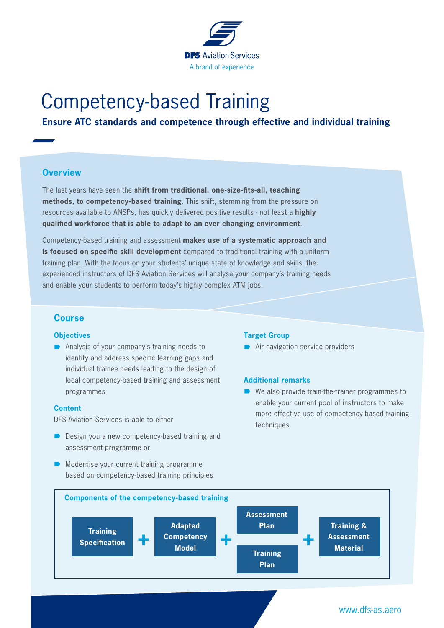

# Competency-based Training

# **Ensure ATC standards and competence through effective and individual training**

## **Overview**

The last years have seen the **shift from traditional, one-size-fits-all, teaching methods, to competency-based training**. This shift, stemming from the pressure on resources available to ANSPs, has quickly delivered positive results - not least a **highly qualified workforce that is able to adapt to an ever changing environment**.

Competency-based training and assessment **makes use of a systematic approach and is focused on specific skill development** compared to traditional training with a uniform training plan. With the focus on your students' unique state of knowledge and skills, the experienced instructors of DFS Aviation Services will analyse your company's training needs and enable your students to perform today's highly complex ATM jobs.

## **Course**

#### **Objectives**

 $\blacksquare$  Analysis of your company's training needs to identify and address specific learning gaps and individual trainee needs leading to the design of local competency-based training and assessment programmes

#### **Content**

DFS Aviation Services is able to either

- $\Box$  Design you a new competency-based training and assessment programme or
- $\blacksquare$  Modernise your current training programme based on competency-based training principles

#### **Target Group**

 $\rightarrow$  Air navigation service providers

### **Additional remarks**

 $\blacksquare$  We also provide train-the-trainer programmes to enable your current pool of instructors to make more effective use of competency-based training techniques